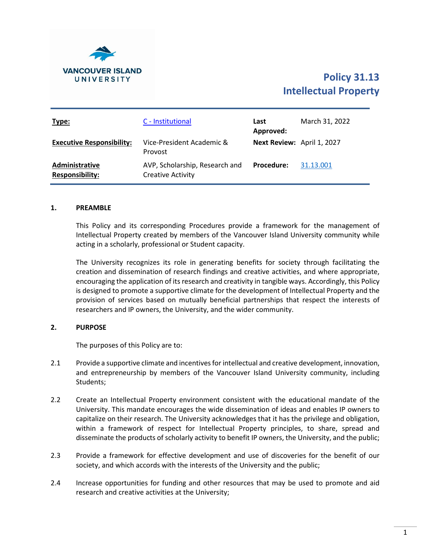

# **Policy 31.13 Intellectual Property**

| Type:                                    | C - Institutional                                          | Last<br>Approved:          | March 31, 2022 |
|------------------------------------------|------------------------------------------------------------|----------------------------|----------------|
| <b>Executive Responsibility:</b>         | Vice-President Academic &<br>Provost                       | Next Review: April 1, 2027 |                |
| Administrative<br><b>Responsibility:</b> | AVP, Scholarship, Research and<br><b>Creative Activity</b> | <b>Procedure:</b>          | 31.13.001      |

#### **1. PREAMBLE**

This Policy and its corresponding Procedures provide a framework for the management of Intellectual Property created by members of the Vancouver Island University community while acting in a scholarly, professional or Student capacity.

The University recognizes its role in generating benefits for society through facilitating the creation and dissemination of research findings and creative activities, and where appropriate, encouraging the application of its research and creativity in tangible ways. Accordingly, this Policy is designed to promote a supportive climate for the development of Intellectual Property and the provision of services based on mutually beneficial partnerships that respect the interests of researchers and IP owners, the University, and the wider community.

#### **2. PURPOSE**

The purposes of this Policy are to:

- 2.1 Provide a supportive climate and incentives for intellectual and creative development, innovation, and entrepreneurship by members of the Vancouver Island University community, including Students;
- 2.2 Create an Intellectual Property environment consistent with the educational mandate of the University. This mandate encourages the wide dissemination of ideas and enables IP owners to capitalize on their research. The University acknowledges that it has the privilege and obligation, within a framework of respect for Intellectual Property principles, to share, spread and disseminate the products of scholarly activity to benefit IP owners, the University, and the public;
- 2.3 Provide a framework for effective development and use of discoveries for the benefit of our society, and which accords with the interests of the University and the public;
- 2.4 Increase opportunities for funding and other resources that may be used to promote and aid research and creative activities at the University;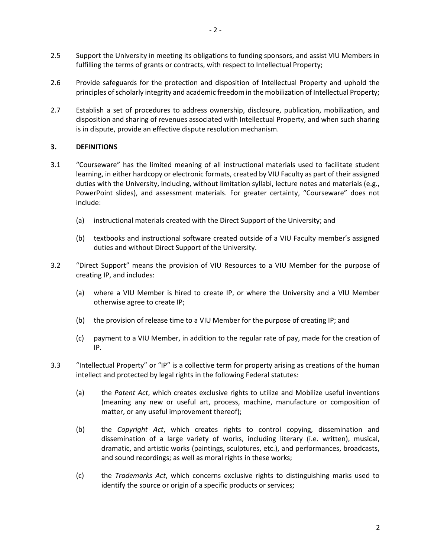- 2.5 Support the University in meeting its obligations to funding sponsors, and assist VIU Members in fulfilling the terms of grants or contracts, with respect to Intellectual Property;
- 2.6 Provide safeguards for the protection and disposition of Intellectual Property and uphold the principles of scholarly integrity and academic freedom in the mobilization of Intellectual Property;
- 2.7 Establish a set of procedures to address ownership, disclosure, publication, mobilization, and disposition and sharing of revenues associated with Intellectual Property, and when such sharing is in dispute, provide an effective dispute resolution mechanism.

## **3. DEFINITIONS**

- 3.1 "Courseware" has the limited meaning of all instructional materials used to facilitate student learning, in either hardcopy or electronic formats, created by VIU Faculty as part of their assigned duties with the University, including, without limitation syllabi, lecture notes and materials (e.g., PowerPoint slides), and assessment materials. For greater certainty, "Courseware" does not include:
	- (a) instructional materials created with the Direct Support of the University; and
	- (b) textbooks and instructional software created outside of a VIU Faculty member's assigned duties and without Direct Support of the University.
- 3.2 "Direct Support" means the provision of VIU Resources to a VIU Member for the purpose of creating IP, and includes:
	- (a) where a VIU Member is hired to create IP, or where the University and a VIU Member otherwise agree to create IP;
	- (b) the provision of release time to a VIU Member for the purpose of creating IP; and
	- (c) payment to a VIU Member, in addition to the regular rate of pay, made for the creation of IP.
- 3.3 "Intellectual Property" or "IP" is a collective term for property arising as creations of the human intellect and protected by legal rights in the following Federal statutes:
	- (a) the *Patent Act*, which creates exclusive rights to utilize and Mobilize useful inventions (meaning any new or useful art, process, machine, manufacture or composition of matter, or any useful improvement thereof);
	- (b) the *Copyright Act*, which creates rights to control copying, dissemination and dissemination of a large variety of works, including literary (i.e. written), musical, dramatic, and artistic works (paintings, sculptures, etc.), and performances, broadcasts, and sound recordings; as well as moral rights in these works;
	- (c) the *Trademarks Act*, which concerns exclusive rights to distinguishing marks used to identify the source or origin of a specific products or services;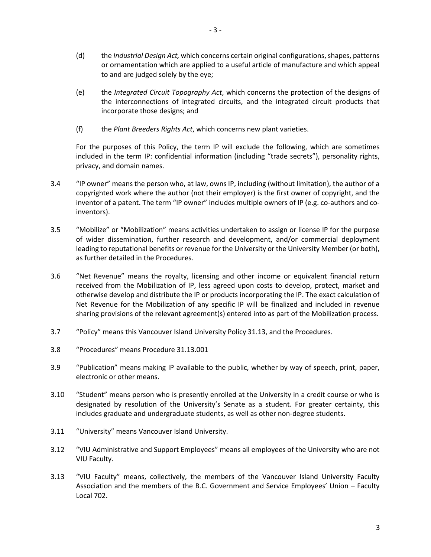- (d) the *Industrial Design Act,* which concerns certain original configurations, shapes, patterns or ornamentation which are applied to a useful article of manufacture and which appeal to and are judged solely by the eye;
- (e) the *Integrated Circuit Topography Act*, which concerns the protection of the designs of the interconnections of integrated circuits, and the integrated circuit products that incorporate those designs; and
- (f) the *Plant Breeders Rights Act*, which concerns new plant varieties.

For the purposes of this Policy, the term IP will exclude the following, which are sometimes included in the term IP: confidential information (including "trade secrets"), personality rights, privacy, and domain names.

- 3.4 "IP owner" means the person who, at law, owns IP, including (without limitation), the author of a copyrighted work where the author (not their employer) is the first owner of copyright, and the inventor of a patent. The term "IP owner" includes multiple owners of IP (e.g. co-authors and coinventors).
- 3.5 "Mobilize" or "Mobilization" means activities undertaken to assign or license IP for the purpose of wider dissemination, further research and development, and/or commercial deployment leading to reputational benefits or revenue for the University or the University Member (or both), as further detailed in the Procedures.
- 3.6 "Net Revenue" means the royalty, licensing and other income or equivalent financial return received from the Mobilization of IP, less agreed upon costs to develop, protect, market and otherwise develop and distribute the IP or products incorporating the IP. The exact calculation of Net Revenue for the Mobilization of any specific IP will be finalized and included in revenue sharing provisions of the relevant agreement(s) entered into as part of the Mobilization process.
- 3.7 "Policy" means this Vancouver Island University Policy 31.13, and the Procedures.
- 3.8 "Procedures" means Procedure 31.13.001
- 3.9 "Publication" means making IP available to the public, whether by way of speech, print, paper, electronic or other means.
- 3.10 "Student" means person who is presently enrolled at the University in a credit course or who is designated by resolution of the University's Senate as a student. For greater certainty, this includes graduate and undergraduate students, as well as other non-degree students.
- 3.11 "University" means Vancouver Island University.
- 3.12 "VIU Administrative and Support Employees" means all employees of the University who are not VIU Faculty.
- 3.13 "VIU Faculty" means, collectively, the members of the Vancouver Island University Faculty Association and the members of the B.C. Government and Service Employees' Union – Faculty Local 702.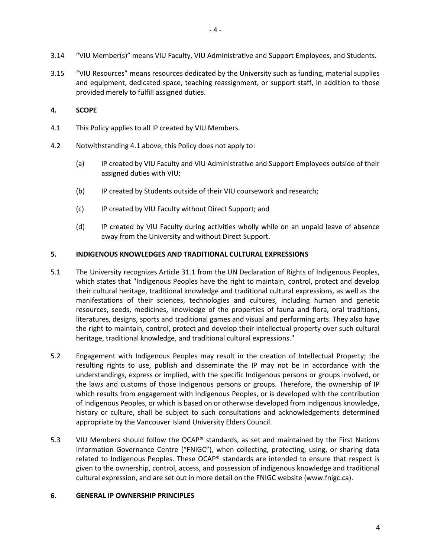3.15 "VIU Resources" means resources dedicated by the University such as funding, material supplies and equipment, dedicated space, teaching reassignment, or support staff, in addition to those provided merely to fulfill assigned duties.

# <span id="page-3-0"></span>**4. SCOPE**

- 4.1 This Policy applies to all IP created by VIU Members.
- 4.2 Notwithstanding [4.1](#page-3-0) above, this Policy does not apply to:
	- (a) IP created by VIU Faculty and VIU Administrative and Support Employees outside of their assigned duties with VIU;
	- (b) IP created by Students outside of their VIU coursework and research;
	- (c) IP created by VIU Faculty without Direct Support; and
	- (d) IP created by VIU Faculty during activities wholly while on an unpaid leave of absence away from the University and without Direct Support.

## **5. INDIGENOUS KNOWLEDGES AND TRADITIONAL CULTURAL EXPRESSIONS**

- 5.1 The University recognizes Article 31.1 from the UN Declaration of Rights of Indigenous Peoples, which states that "Indigenous Peoples have the right to maintain, control, protect and develop their cultural heritage, traditional knowledge and traditional cultural expressions, as well as the manifestations of their sciences, technologies and cultures, including human and genetic resources, seeds, medicines, knowledge of the properties of fauna and flora, oral traditions, literatures, designs, sports and traditional games and visual and performing arts. They also have the right to maintain, control, protect and develop their intellectual property over such cultural heritage, traditional knowledge, and traditional cultural expressions."
- 5.2 Engagement with Indigenous Peoples may result in the creation of Intellectual Property; the resulting rights to use, publish and disseminate the IP may not be in accordance with the understandings, express or implied, with the specific Indigenous persons or groups involved, or the laws and customs of those Indigenous persons or groups. Therefore, the ownership of IP which results from engagement with Indigenous Peoples, or is developed with the contribution of Indigenous Peoples, or which is based on or otherwise developed from Indigenous knowledge, history or culture, shall be subject to such consultations and acknowledgements determined appropriate by the Vancouver Island University Elders Council.
- 5.3 VIU Members should follow the OCAP® standards, as set and maintained by the First Nations Information Governance Centre ("FNIGC"), when collecting, protecting, using, or sharing data related to Indigenous Peoples. These OCAP® standards are intended to ensure that respect is given to the ownership, control, access, and possession of indigenous knowledge and traditional cultural expression, and are set out in more detail on the FNIGC website (www.fnigc.ca).

# **6. GENERAL IP OWNERSHIP PRINCIPLES**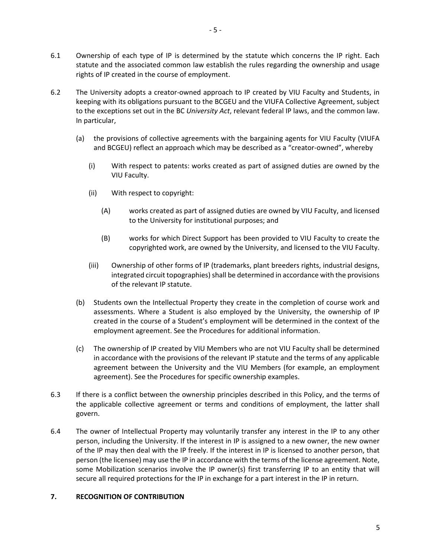- 6.1 Ownership of each type of IP is determined by the statute which concerns the IP right. Each statute and the associated common law establish the rules regarding the ownership and usage
- 6.2 The University adopts a creator-owned approach to IP created by VIU Faculty and Students, in keeping with its obligations pursuant to the BCGEU and the VIUFA Collective Agreement, subject to the exceptions set out in the BC *University Act*, relevant federal IP laws, and the common law. In particular,
	- (a) the provisions of collective agreements with the bargaining agents for VIU Faculty (VIUFA and BCGEU) reflect an approach which may be described as a "creator-owned", whereby
		- (i) With respect to patents: works created as part of assigned duties are owned by the VIU Faculty.
		- (ii) With respect to copyright:

rights of IP created in the course of employment.

- (A) works created as part of assigned duties are owned by VIU Faculty, and licensed to the University for institutional purposes; and
- (B) works for which Direct Support has been provided to VIU Faculty to create the copyrighted work, are owned by the University, and licensed to the VIU Faculty.
- (iii) Ownership of other forms of IP (trademarks, plant breeders rights, industrial designs, integrated circuit topographies) shall be determined in accordance with the provisions of the relevant IP statute.
- (b) Students own the Intellectual Property they create in the completion of course work and assessments. Where a Student is also employed by the University, the ownership of IP created in the course of a Student's employment will be determined in the context of the employment agreement. See the Procedures for additional information.
- (c) The ownership of IP created by VIU Members who are not VIU Faculty shall be determined in accordance with the provisions of the relevant IP statute and the terms of any applicable agreement between the University and the VIU Members (for example, an employment agreement). See the Procedures for specific ownership examples.
- 6.3 If there is a conflict between the ownership principles described in this Policy, and the terms of the applicable collective agreement or terms and conditions of employment, the latter shall govern.
- 6.4 The owner of Intellectual Property may voluntarily transfer any interest in the IP to any other person, including the University. If the interest in IP is assigned to a new owner, the new owner of the IP may then deal with the IP freely. If the interest in IP is licensed to another person, that person (the licensee) may use the IP in accordance with the terms of the license agreement. Note, some Mobilization scenarios involve the IP owner(s) first transferring IP to an entity that will secure all required protections for the IP in exchange for a part interest in the IP in return.

## **7. RECOGNITION OF CONTRIBUTION**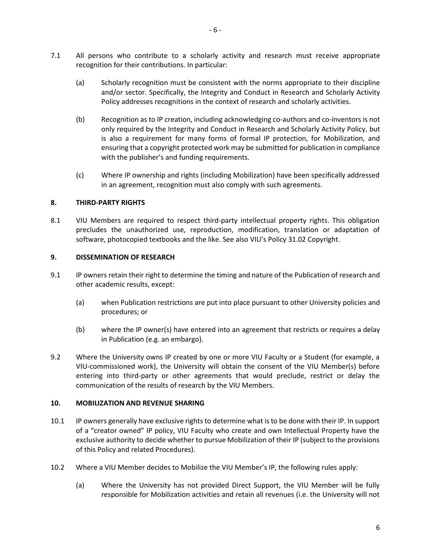- 7.1 All persons who contribute to a scholarly activity and research must receive appropriate recognition for their contributions. In particular:
	- (a) Scholarly recognition must be consistent with the norms appropriate to their discipline and/or sector. Specifically, the Integrity and Conduct in Research and Scholarly Activity Policy addresses recognitions in the context of research and scholarly activities.
	- (b) Recognition as to IP creation, including acknowledging co-authors and co-inventors is not only required by the Integrity and Conduct in Research and Scholarly Activity Policy, but is also a requirement for many forms of formal IP protection, for Mobilization, and ensuring that a copyright protected work may be submitted for publication in compliance with the publisher's and funding requirements.
	- (c) Where IP ownership and rights (including Mobilization) have been specifically addressed in an agreement, recognition must also comply with such agreements.

## **8. THIRD-PARTY RIGHTS**

8.1 VIU Members are required to respect third-party intellectual property rights. This obligation precludes the unauthorized use, reproduction, modification, translation or adaptation of software, photocopied textbooks and the like. See also VIU's Policy 31.02 Copyright.

#### **9. DISSEMINATION OF RESEARCH**

- 9.1 IP owners retain their right to determine the timing and nature of the Publication of research and other academic results, except:
	- (a) when Publication restrictions are put into place pursuant to other University policies and procedures; or
	- (b) where the IP owner(s) have entered into an agreement that restricts or requires a delay in Publication (e.g. an embargo).
- 9.2 Where the University owns IP created by one or more VIU Faculty or a Student (for example, a VIU-commissioned work), the University will obtain the consent of the VIU Member(s) before entering into third-party or other agreements that would preclude, restrict or delay the communication of the results of research by the VIU Members.

#### **10. MOBILIZATION AND REVENUE SHARING**

- 10.1 IP owners generally have exclusive rights to determine what is to be done with their IP. In support of a "creator owned" IP policy, VIU Faculty who create and own Intellectual Property have the exclusive authority to decide whether to pursue Mobilization of their IP (subject to the provisions of this Policy and related Procedures).
- 10.2 Where a VIU Member decides to Mobilize the VIU Member's IP, the following rules apply:
	- (a) Where the University has not provided Direct Support, the VIU Member will be fully responsible for Mobilization activities and retain all revenues (i.e. the University will not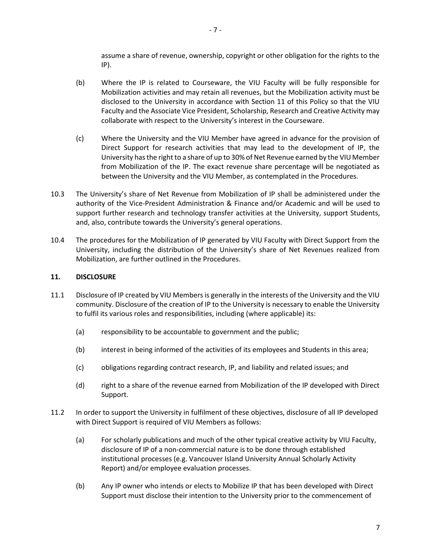assume a share of revenue, ownership, copyright or other obligation for the rights to the IP).

- (b) Where the IP is related to Courseware, the VIU Faculty will be fully responsible for Mobilization activities and may retain all revenues, but the Mobilization activity must be disclosed to the University in accordance with Section 11 of this Policy so that the VIU Faculty and the Associate Vice President, Scholarship, Research and Creative Activity may collaborate with respect to the University's interest in the Courseware.
- (c) Where the University and the VIU Member have agreed in advance for the provision of Direct Support for research activities that may lead to the development of IP, the University has the right to a share of up to 30% of Net Revenue earned by the VIU Member from Mobilization of the IP. The exact revenue share percentage will be negotiated as between the University and the VIU Member, as contemplated in the Procedures.
- 10.3 The University's share of Net Revenue from Mobilization of IP shall be administered under the authority of the Vice-President Administration & Finance and/or Academic and will be used to support further research and technology transfer activities at the University, support Students, and, also, contribute towards the University's general operations.
- 10.4 The procedures for the Mobilization of IP generated by VIU Faculty with Direct Support from the University, including the distribution of the University's share of Net Revenues realized from Mobilization, are further outlined in the Procedures.

### **11. DISCLOSURE**

- 11.1 Disclosure of IP created by VIU Members is generally in the interests of the University and the VIU community. Disclosure of the creation of IP to the University is necessary to enable the University to fulfil its various roles and responsibilities, including (where applicable) its:
	- (a) responsibility to be accountable to government and the public;
	- (b) interest in being informed of the activities of its employees and Students in this area;
	- (c) obligations regarding contract research, IP, and liability and related issues; and
	- (d) right to a share of the revenue earned from Mobilization of the IP developed with Direct Support.
- 11.2 In order to support the University in fulfilment of these objectives, disclosure of all IP developed with Direct Support is required of VIU Members as follows:
	- (a) For scholarly publications and much of the other typical creative activity by VIU Faculty, disclosure of IP of a non-commercial nature is to be done through established institutional processes (e.g. Vancouver Island University Annual Scholarly Activity Report) and/or employee evaluation processes.
	- (b) Any IP owner who intends or elects to Mobilize IP that has been developed with Direct Support must disclose their intention to the University prior to the commencement of